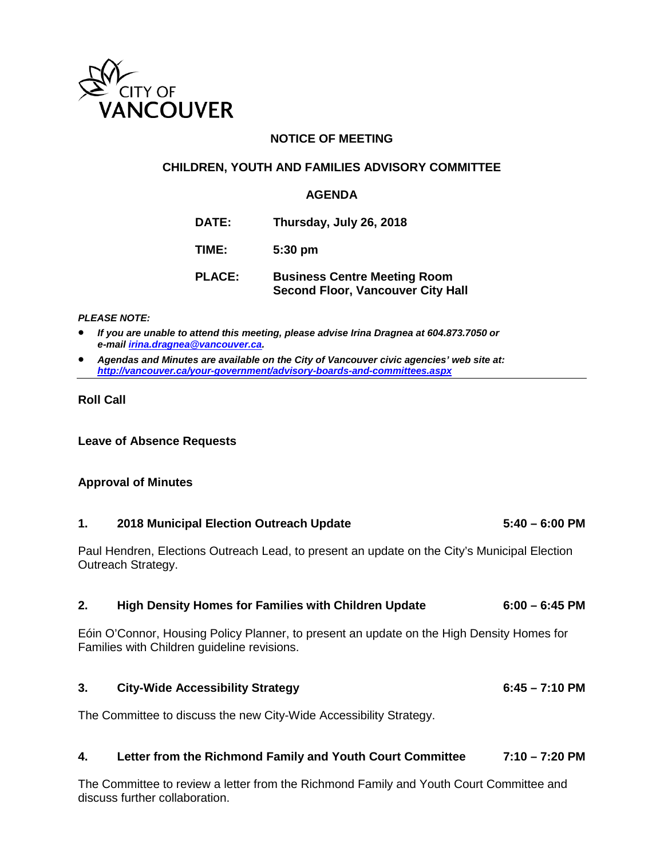

## **NOTICE OF MEETING**

#### **CHILDREN, YOUTH AND FAMILIES ADVISORY COMMITTEE**

#### **AGENDA**

| <b>DATE:</b>  | Thursday, July 26, 2018                                                         |
|---------------|---------------------------------------------------------------------------------|
| TIME:         | $5:30$ pm                                                                       |
| <b>PLACE:</b> | <b>Business Centre Meeting Room</b><br><b>Second Floor, Vancouver City Hall</b> |

#### *PLEASE NOTE:*

• *If you are unable to attend this meeting, please advise Irina Dragnea at 604.873.7050 or e-mai[l irina.dragnea@vancouver.ca.](mailto:irina.dragnea@vancouver.ca)* 

• *Agendas and Minutes are available on the City of Vancouver civic agencies' web site at: <http://vancouver.ca/your-government/advisory-boards-and-committees.aspx>*

#### **Roll Call**

**Leave of Absence Requests**

### **Approval of Minutes**

### **1. 2018 Municipal Election Outreach Update 5:40 – 6:00 PM**

Paul Hendren, Elections Outreach Lead, to present an update on the City's Municipal Election Outreach Strategy.

#### **2. High Density Homes for Families with Children Update 6:00 – 6:45 PM**

Eóin O'Connor, Housing Policy Planner, to present an update on the High Density Homes for Families with Children guideline revisions.

#### **3. City-Wide Accessibility Strategy 6:45 – 7:10 PM**

The Committee to discuss the new City-Wide Accessibility Strategy.

#### **4. Letter from the Richmond Family and Youth Court Committee 7:10 – 7:20 PM**

The Committee to review a letter from the Richmond Family and Youth Court Committee and discuss further collaboration.